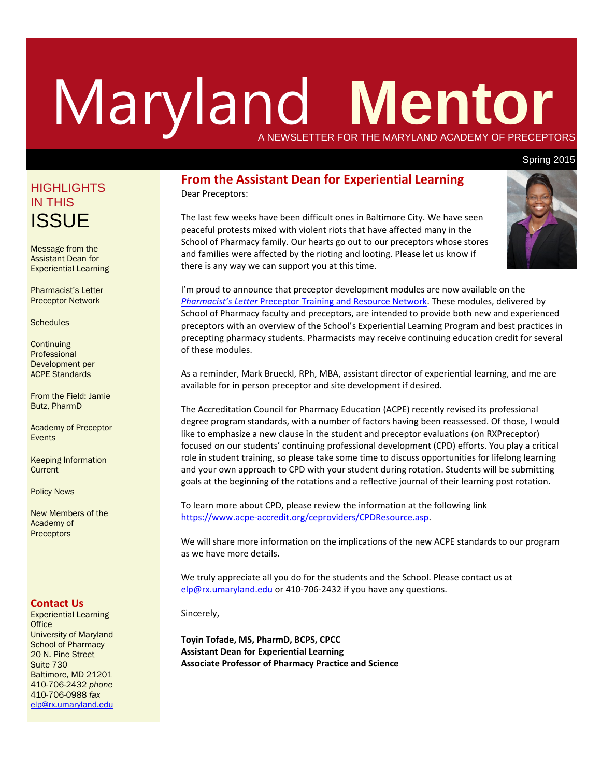# Maryland **Mentor** A NEWSLETTER FOR THE MARYLAND ACADEMY OF PRECEPTORS

#### Spring 2015

# **HIGHLIGHTS** IN THIS **ISSUE**

Message from the Assistant Dean for Experiential Learning

Pharmacist's Letter Preceptor Network

**Schedules** 

**Continuing** Professional Development per ACPE Standards

From the Field: Jamie Butz, PharmD

Academy of Preceptor Events

Keeping Information **Current** 

Policy News

New Members of the Academy of **Preceptors** 

#### **Contact Us**

Experiential Learning **Office** University of Maryland School of Pharmacy 20 N. Pine Street Suite 730 Baltimore, MD 21201 410-706-2432 *phone* 410-706-0988 *fax* [elp@rx.umaryland.edu](mailto:elp@rx.umaryland.edu)

#### **From the Assistant Dean for Experiential Learning** Dear Preceptors:

The last few weeks have been difficult ones in Baltimore City. We have seen peaceful protests mixed with violent riots that have affected many in the School of Pharmacy family. Our hearts go out to our preceptors whose stores and families were affected by the rioting and looting. Please let us know if there is any way we can support you at this time.



I'm proud to announce that preceptor development modules are now available on the *Pharmacist's Letter* [Preceptor Training and Resource Network.](http://www.pharmacistsletter.com/?referer=uomdsop%2Fptrn) These modules, delivered by School of Pharmacy faculty and preceptors, are intended to provide both new and experienced preceptors with an overview of the School's Experiential Learning Program and best practices in precepting pharmacy students. Pharmacists may receive continuing education credit for several of these modules.

As a reminder, Mark Brueckl, RPh, MBA, assistant director of experiential learning, and me are available for in person preceptor and site development if desired.

The Accreditation Council for Pharmacy Education (ACPE) recently revised its professional degree program standards, with a number of factors having been reassessed. Of those, I would like to emphasize a new clause in the student and preceptor evaluations (on RXPreceptor) focused on our students' continuing professional development (CPD) efforts. You play a critical role in student training, so please take some time to discuss opportunities for lifelong learning and your own approach to CPD with your student during rotation. Students will be submitting goals at the beginning of the rotations and a reflective journal of their learning post rotation.

To learn more about CPD, please review the information at the following link [https://www.acpe-accredit.org/ceproviders/CPDResource.asp.](https://www.acpe-accredit.org/ceproviders/CPDResource.asp)

We will share more information on the implications of the new ACPE standards to our program as we have more details.

We truly appreciate all you do for the students and the School. Please contact us at [elp@rx.umaryland.edu](mailto:elp@rx.umaryland.edu) or 410-706-2432 if you have any questions.

Sincerely,

**Toyin Tofade, MS, PharmD, BCPS, CPCC Assistant Dean for Experiential Learning Associate Professor of Pharmacy Practice and Science**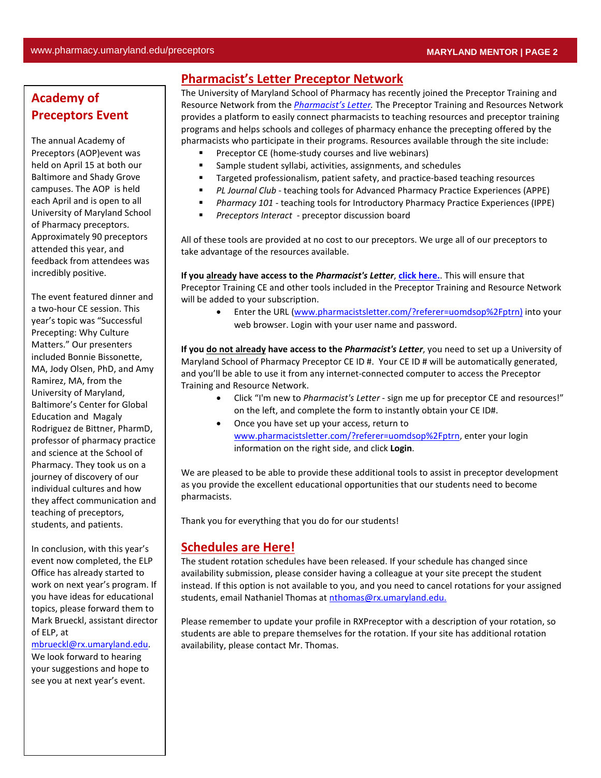# **Academy of Preceptors Event**

The annual Academy of Preceptors (AOP)event was held on April 15 at both our Baltimore and Shady Grove campuses. The AOP is held each April and is open to all University of Maryland School of Pharmacy preceptors. Approximately 90 preceptors attended this year, and feedback from attendees was incredibly positive.

The event featured dinner and a two-hour CE session. This year's topic was "Successful Precepting: Why Culture Matters." Our presenters included Bonnie Bissonette, MA, Jody Olsen, PhD, and Amy Ramirez, MA, from the University of Maryland, Baltimore's Center for Global Education and Magaly Rodriguez de Bittner, PharmD, professor of pharmacy practice and science at the School of Pharmacy. They took us on a journey of discovery of our individual cultures and how they affect communication and teaching of preceptors, students, and patients.

In conclusion, with this year's event now completed, the ELP Office has already started to work on next year's program. If you have ideas for educational topics, please forward them to Mark Brueckl, assistant director of ELP, at

[mbrueckl@rx.umaryland.edu.](mailto:mbrueckl@rx.umaryland.edu)

We look forward to hearing your suggestions and hope to see you at next year's event.

### **Pharmacist's Letter Preceptor Network**

The University of Maryland School of Pharmacy has recently joined the Preceptor Training and Resource Network from the *[Pharmacist's](http://www.pharmacistsletter.com/?referer=uomdsop%2Fptrn) Letter.* The Preceptor Training and Resources Network provides a platform to easily connect pharmacists to teaching resources and preceptor training programs and helps schools and colleges of pharmacy enhance the precepting offered by the pharmacists who participate in their programs. Resources available through the site include:

- Preceptor CE (home-study courses and live webinars)
- Sample student syllabi, activities, assignments, and schedules
- **Targeted professionalism, patient safety, and practice-based teaching resources**
- *PL Journal Club*  teaching tools for Advanced Pharmacy Practice Experiences (APPE)
- *Pharmacy 101*  teaching tools for Introductory Pharmacy Practice Experiences (IPPE)
- *Preceptors Interact -* preceptor discussion board

All of these tools are provided at no cost to our preceptors. We urge all of our preceptors to take advantage of the resources available.

**If you already have access to the** *Pharmacist's Letter*, **[click here.](https://www.academicsuiterx.com/experiential_login.php)**. This will ensure that Preceptor Training CE and other tools included in the Preceptor Training and Resource Network will be added to your subscription.

• Enter the URL [\(www.pharmacistsletter.com/?referer=uomdsop%2Fptrn\)](http://www.pharmacistsletter.com/?referer=uomdsop%2Fptrn) into your web browser. Login with your user name and password.

**If you do not already have access to the** *Pharmacist's Letter*, you need to set up a University of Maryland School of Pharmacy Preceptor CE ID #. Your CE ID # will be automatically generated, and you'll be able to use it from any internet-connected computer to access the Preceptor Training and Resource Network.

- Click "I'm new to *Pharmacist's Letter*  sign me up for preceptor CE and resources!" on the left, and complete the form to instantly obtain your CE ID#.
- Once you have set up your access, return to [www.pharmacistsletter.com/?referer=uomdsop%2Fptrn,](http://www.pharmacistsletter.com/?referer=uomdsop%2Fptrn) enter your login information on the right side, and click **Login**.

We are pleased to be able to provide these additional tools to assist in preceptor development as you provide the excellent educational opportunities that our students need to become pharmacists.

Thank you for everything that you do for our students!

#### **Schedules are Here!**

The student rotation schedules have been released. If your schedule has changed since availability submission, please consider having a colleague at your site precept the student instead. If this option is not available to you, and you need to cancel rotations for your assigned students, email Nathaniel Thomas at [nthomas@rx.umaryland.edu.](mailto:nthomas@rx.umaryland.edu)

Please remember to update your profile in RXPreceptor with a description of your rotation, so students are able to prepare themselves for the rotation. If your site has additional rotation availability, please contact Mr. Thomas.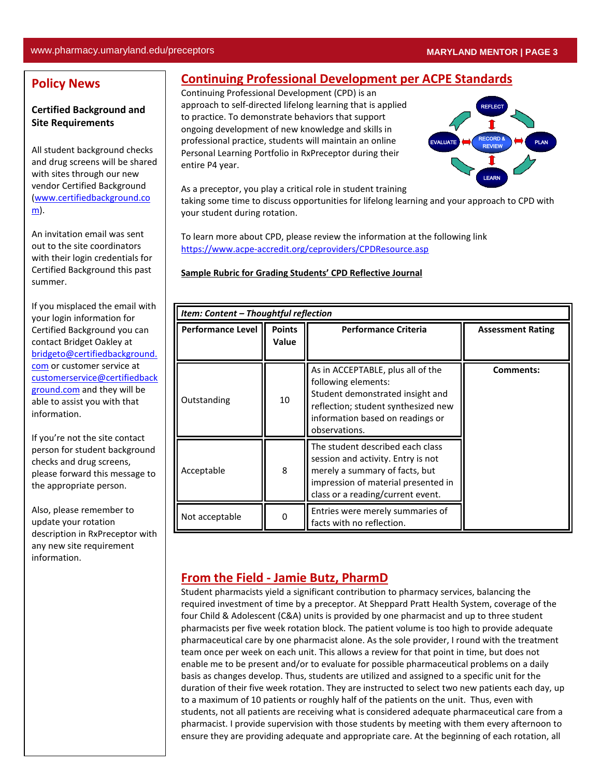### **Policy News**

#### **Certified Background and Site Requirements**

All student background checks and drug screens will be shared with sites through our new vendor Certified Background [\(www.certifiedbackground.co](http://www.certifiedbackground.com/) [m\)](http://www.certifiedbackground.com/).

An invitation email was sent out to the site coordinators with their login credentials for Certified Background this past summer.

If you misplaced the email with your login information for Certified Background you can contact Bridget Oakley at [bridgeto@certifiedbackground.](mailto:bridgeto@certifiedbackground.com) [com](mailto:bridgeto@certifiedbackground.com) or customer service at [customerservice@certifiedback](mailto:customerservice@certifiedbackground.com) [ground.com](mailto:customerservice@certifiedbackground.com) and they will be able to assist you with that information.

If you're not the site contact person for student background checks and drug screens, please forward this message to the appropriate person.

Also, please remember to update your rotation description in RxPreceptor with any new site requirement information.

# **Continuing Professional Development per ACPE Standards**

Continuing Professional Development (CPD) is an approach to self-directed lifelong learning that is applied to practice. To demonstrate behaviors that support ongoing development of new knowledge and skills in professional practice, students will maintain an online Personal Learning Portfolio in RxPreceptor during their entire P4 year.



As a preceptor, you play a critical role in student training

taking some time to discuss opportunities for lifelong learning and your approach to CPD with your student during rotation.

To learn more about CPD, please review the information at the following link <https://www.acpe-accredit.org/ceproviders/CPDResource.asp>

**Sample Rubric for Grading Students' CPD Reflective Journal**

| Item: Content – Thoughtful reflection |                        |                                                                                                                                                                                          |                          |
|---------------------------------------|------------------------|------------------------------------------------------------------------------------------------------------------------------------------------------------------------------------------|--------------------------|
| <b>Performance Level</b>              | <b>Points</b><br>Value | <b>Performance Criteria</b>                                                                                                                                                              | <b>Assessment Rating</b> |
| Outstanding                           | 10                     | As in ACCEPTABLE, plus all of the<br>following elements:<br>Student demonstrated insight and<br>reflection; student synthesized new<br>information based on readings or<br>observations. | Comments:                |
| Acceptable                            | 8                      | The student described each class<br>session and activity. Entry is not<br>merely a summary of facts, but<br>impression of material presented in<br>class or a reading/current event.     |                          |
| Not acceptable                        | 0                      | Entries were merely summaries of<br>facts with no reflection.                                                                                                                            |                          |

## **From the Field - Jamie Butz, PharmD**

Student pharmacists yield a significant contribution to pharmacy services, balancing the required investment of time by a preceptor. At Sheppard Pratt Health System, coverage of the four Child & Adolescent (C&A) units is provided by one pharmacist and up to three student pharmacists per five week rotation block. The patient volume is too high to provide adequate pharmaceutical care by one pharmacist alone. As the sole provider, I round with the treatment team once per week on each unit. This allows a review for that point in time, but does not enable me to be present and/or to evaluate for possible pharmaceutical problems on a daily basis as changes develop. Thus, students are utilized and assigned to a specific unit for the duration of their five week rotation. They are instructed to select two new patients each day, up to a maximum of 10 patients or roughly half of the patients on the unit. Thus, even with students, not all patients are receiving what is considered adequate pharmaceutical care from a pharmacist. I provide supervision with those students by meeting with them every afternoon to ensure they are providing adequate and appropriate care. At the beginning of each rotation, all